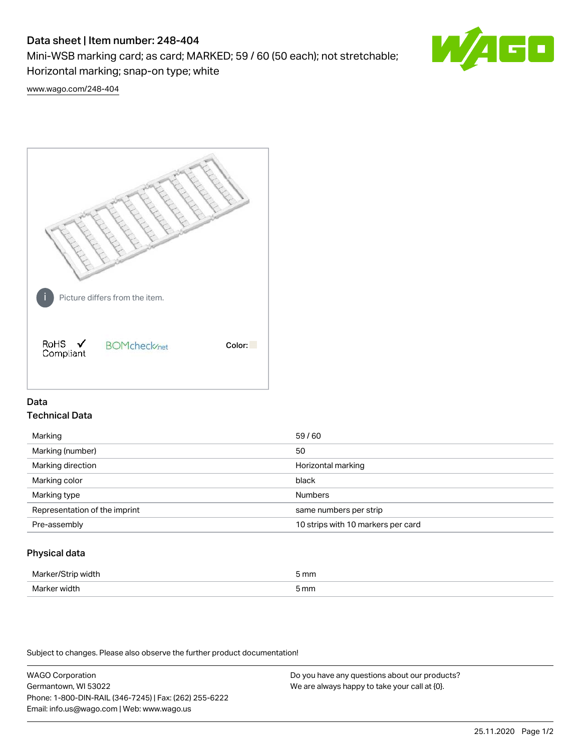# Data sheet | Item number: 248-404

Mini-WSB marking card; as card; MARKED; 59 / 60 (50 each); not stretchable; Horizontal marking; snap-on type; white



[www.wago.com/248-404](http://www.wago.com/248-404)



## Data Technical Data

| Marking                       | 59/60                              |
|-------------------------------|------------------------------------|
| Marking (number)              | 50                                 |
| Marking direction             | Horizontal marking                 |
| Marking color                 | black                              |
| Marking type                  | <b>Numbers</b>                     |
| Representation of the imprint | same numbers per strip             |
| Pre-assembly                  | 10 strips with 10 markers per card |
|                               |                                    |

## Physical data

| Mar                      | 5 mm |
|--------------------------|------|
| M <sub>cr</sub><br>width | 5 mm |

Subject to changes. Please also observe the further product documentation!

WAGO Corporation Germantown, WI 53022 Phone: 1-800-DIN-RAIL (346-7245) | Fax: (262) 255-6222 Email: info.us@wago.com | Web: www.wago.us Do you have any questions about our products? We are always happy to take your call at {0}.